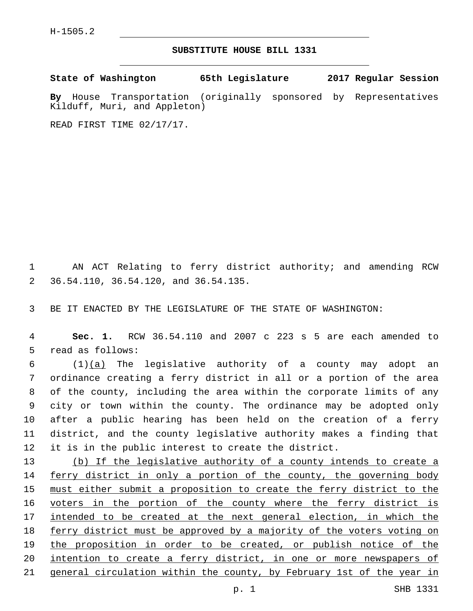## **SUBSTITUTE HOUSE BILL 1331**

**State of Washington 65th Legislature 2017 Regular Session**

**By** House Transportation (originally sponsored by Representatives Kilduff, Muri, and Appleton)

READ FIRST TIME 02/17/17.

1 AN ACT Relating to ferry district authority; and amending RCW 36.54.110, 36.54.120, and 36.54.135.2

3 BE IT ENACTED BY THE LEGISLATURE OF THE STATE OF WASHINGTON:

4 **Sec. 1.** RCW 36.54.110 and 2007 c 223 s 5 are each amended to 5 read as follows:

 $(1)(a)$  The legislative authority of a county may adopt an ordinance creating a ferry district in all or a portion of the area of the county, including the area within the corporate limits of any city or town within the county. The ordinance may be adopted only after a public hearing has been held on the creation of a ferry district, and the county legislative authority makes a finding that it is in the public interest to create the district.

 (b) If the legislative authority of a county intends to create a ferry district in only a portion of the county, the governing body must either submit a proposition to create the ferry district to the voters in the portion of the county where the ferry district is 17 intended to be created at the next general election, in which the ferry district must be approved by a majority of the voters voting on the proposition in order to be created, or publish notice of the 20 intention to create a ferry district, in one or more newspapers of 21 general circulation within the county, by February 1st of the year in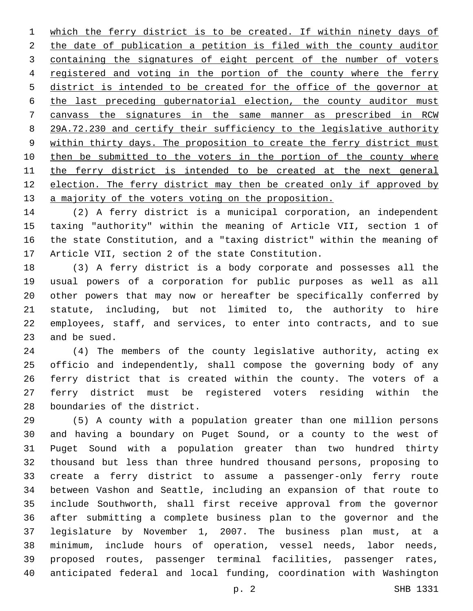which the ferry district is to be created. If within ninety days of 2 the date of publication a petition is filed with the county auditor containing the signatures of eight percent of the number of voters 4 registered and voting in the portion of the county where the ferry district is intended to be created for the office of the governor at the last preceding gubernatorial election, the county auditor must canvass the signatures in the same manner as prescribed in RCW 29A.72.230 and certify their sufficiency to the legislative authority 9 within thirty days. The proposition to create the ferry district must 10 then be submitted to the voters in the portion of the county where the ferry district is intended to be created at the next general 12 election. The ferry district may then be created only if approved by 13 a majority of the voters voting on the proposition.

 (2) A ferry district is a municipal corporation, an independent taxing "authority" within the meaning of Article VII, section 1 of the state Constitution, and a "taxing district" within the meaning of 17 Article VII, section 2 of the state Constitution.

 (3) A ferry district is a body corporate and possesses all the usual powers of a corporation for public purposes as well as all other powers that may now or hereafter be specifically conferred by statute, including, but not limited to, the authority to hire employees, staff, and services, to enter into contracts, and to sue 23 and be sued.

 (4) The members of the county legislative authority, acting ex officio and independently, shall compose the governing body of any ferry district that is created within the county. The voters of a ferry district must be registered voters residing within the 28 boundaries of the district.

 (5) A county with a population greater than one million persons and having a boundary on Puget Sound, or a county to the west of Puget Sound with a population greater than two hundred thirty thousand but less than three hundred thousand persons, proposing to create a ferry district to assume a passenger-only ferry route between Vashon and Seattle, including an expansion of that route to include Southworth, shall first receive approval from the governor after submitting a complete business plan to the governor and the legislature by November 1, 2007. The business plan must, at a minimum, include hours of operation, vessel needs, labor needs, proposed routes, passenger terminal facilities, passenger rates, anticipated federal and local funding, coordination with Washington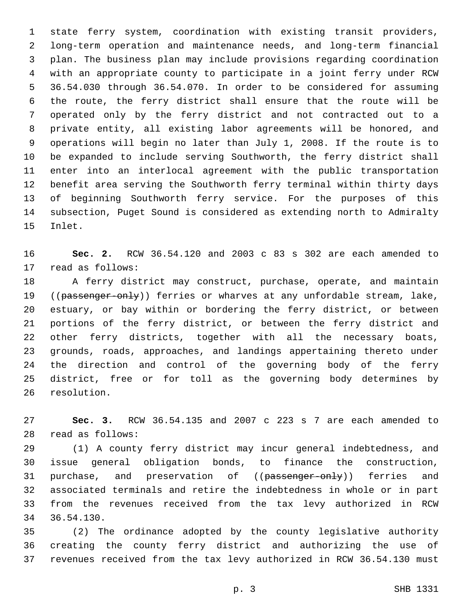state ferry system, coordination with existing transit providers, long-term operation and maintenance needs, and long-term financial plan. The business plan may include provisions regarding coordination with an appropriate county to participate in a joint ferry under RCW 36.54.030 through 36.54.070. In order to be considered for assuming the route, the ferry district shall ensure that the route will be operated only by the ferry district and not contracted out to a private entity, all existing labor agreements will be honored, and operations will begin no later than July 1, 2008. If the route is to be expanded to include serving Southworth, the ferry district shall enter into an interlocal agreement with the public transportation benefit area serving the Southworth ferry terminal within thirty days of beginning Southworth ferry service. For the purposes of this subsection, Puget Sound is considered as extending north to Admiralty 15 Inlet.

 **Sec. 2.** RCW 36.54.120 and 2003 c 83 s 302 are each amended to 17 read as follows:

 A ferry district may construct, purchase, operate, and maintain 19 ((passenger-only)) ferries or wharves at any unfordable stream, lake, estuary, or bay within or bordering the ferry district, or between portions of the ferry district, or between the ferry district and other ferry districts, together with all the necessary boats, grounds, roads, approaches, and landings appertaining thereto under the direction and control of the governing body of the ferry district, free or for toll as the governing body determines by 26 resolution.

 **Sec. 3.** RCW 36.54.135 and 2007 c 223 s 7 are each amended to read as follows:28

 (1) A county ferry district may incur general indebtedness, and issue general obligation bonds, to finance the construction, 31 purchase, and preservation of ((passenger-only)) ferries and associated terminals and retire the indebtedness in whole or in part from the revenues received from the tax levy authorized in RCW 34 36.54.130.

 (2) The ordinance adopted by the county legislative authority creating the county ferry district and authorizing the use of revenues received from the tax levy authorized in RCW 36.54.130 must